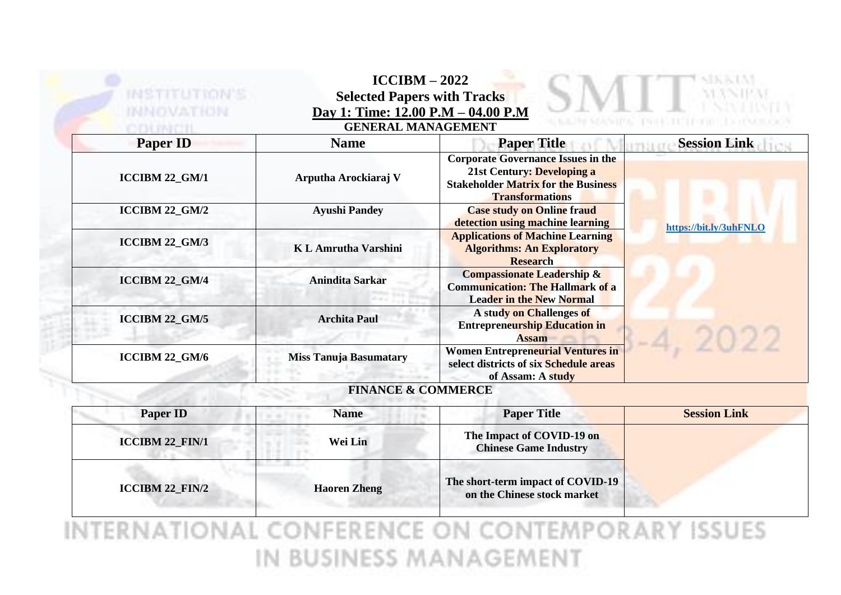| <b>INSTITUTION'S</b><br>INNOVATION | $ICCIBM - 2022$<br><b>Selected Papers with Tracks</b><br>Day 1: Time: 12.00 P.M - 04.00 P.M<br><b>GENERAL MANAGEMENT</b> |                                                                                                                                                 |                        |
|------------------------------------|--------------------------------------------------------------------------------------------------------------------------|-------------------------------------------------------------------------------------------------------------------------------------------------|------------------------|
| <b>Paper ID</b>                    | <b>Name</b>                                                                                                              | <b>Paper Title</b>                                                                                                                              | <b>Session Link</b>    |
| ICCIBM 22_GM/1                     | Arputha Arockiaraj V                                                                                                     | <b>Corporate Governance Issues in the</b><br>21st Century: Developing a<br><b>Stakeholder Matrix for the Business</b><br><b>Transformations</b> |                        |
| ICCIBM 22_GM/2                     | <b>Ayushi Pandey</b>                                                                                                     | <b>Case study on Online fraud</b><br>detection using machine learning                                                                           | https://bit.ly/3uhFNLO |
| <b>ICCIBM 22_GM/3</b>              | <b>KL Amrutha Varshini</b>                                                                                               | <b>Applications of Machine Learning</b><br><b>Algorithms: An Exploratory</b><br><b>Research</b>                                                 |                        |
| ICCIBM 22_GM/4                     | <b>Anindita Sarkar</b>                                                                                                   | <b>Compassionate Leadership &amp;</b><br><b>Communication: The Hallmark of a</b><br><b>Leader in the New Normal</b>                             |                        |
| ICCIBM 22_GM/5                     | <b>Archita Paul</b>                                                                                                      | A study on Challenges of<br><b>Entrepreneurship Education in</b><br><b>Assam</b>                                                                |                        |
| ICCIBM 22_GM/6                     | <b>Miss Tanuja Basumatary</b>                                                                                            | Women Entrepreneurial Ventures in<br>select districts of six Schedule areas<br>of Assam: A study                                                |                        |
|                                    | <b>FINANCE &amp; COMMERCE</b>                                                                                            |                                                                                                                                                 |                        |

| <b>Paper ID</b>        | <b>Name</b>         | <b>Paper Title</b>                                               | <b>Session Link</b> |
|------------------------|---------------------|------------------------------------------------------------------|---------------------|
| <b>ICCIBM 22_FIN/1</b> | Wei Lin             | The Impact of COVID-19 on<br><b>Chinese Game Industry</b>        |                     |
| <b>ICCIBM 22_FIN/2</b> | <b>Haoren Zheng</b> | The short-term impact of COVID-19<br>on the Chinese stock market |                     |

INTERNATIONAL CONFERENCE ON CONTEMPORARY ISSUES IN BUSINESS MANAGEMENT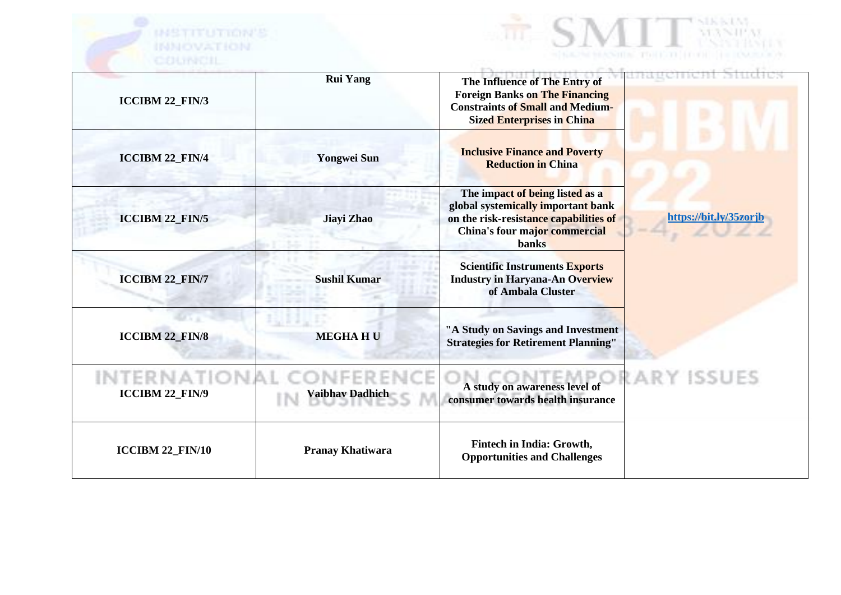



| <b>ICCIBM 22_FIN/3</b>            | <b>Rui Yang</b>         | The Influence of The Entry of<br><b>Foreign Banks on The Financing</b><br><b>Constraints of Small and Medium-</b><br><b>Sized Enterprises in China</b>           |                        |
|-----------------------------------|-------------------------|------------------------------------------------------------------------------------------------------------------------------------------------------------------|------------------------|
| <b>ICCIBM 22_FIN/4</b>            | <b>Yongwei Sun</b>      | <b>Inclusive Finance and Poverty</b><br><b>Reduction in China</b>                                                                                                |                        |
| <b>ICCIBM 22_FIN/5</b>            | Jiayi Zhao              | The impact of being listed as a<br>global systemically important bank<br>on the risk-resistance capabilities of<br>China's four major commercial<br><b>banks</b> | https://bit.ly/35zorjb |
| <b>ICCIBM 22_FIN/7</b>            | <b>Sushil Kumar</b>     | <b>Scientific Instruments Exports</b><br><b>Industry in Haryana-An Overview</b><br>of Ambala Cluster                                                             |                        |
| <b>ICCIBM 22_FIN/8</b>            | <b>MEGHAHU</b>          | "A Study on Savings and Investment<br><b>Strategies for Retirement Planning"</b>                                                                                 |                        |
| i eknat<br><b>ICCIBM 22_FIN/9</b> | Vaibhav Dadhich         | A study on awareness level of<br>consumer towards health insurance                                                                                               | RARY ISSUES            |
| ICCIBM 22_FIN/10                  | <b>Pranay Khatiwara</b> | <b>Fintech in India: Growth,</b><br><b>Opportunities and Challenges</b>                                                                                          |                        |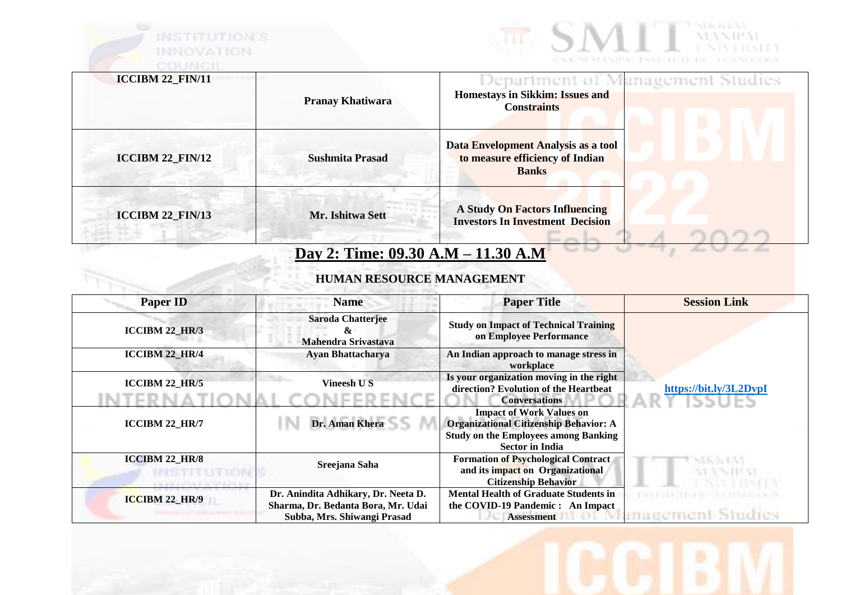



| <b>ICCIBM 22 FIN/11</b> | <b>Pranay Khatiwara</b>            | Department of Management Studies<br>Homestays in Sikkim: Issues and<br><b>Constraints</b> |
|-------------------------|------------------------------------|-------------------------------------------------------------------------------------------|
| $ICCIBM 22$ $FIN/12$    | <b>Sushmita Prasad</b>             | Data Envelopment Analysis as a tool<br>to measure efficiency of Indian<br><b>Banks</b>    |
| <b>ICCIBM 22_FIN/13</b> | Mr. Ishitwa Sett                   | <b>A Study On Factors Influencing</b><br><b>Investors In Investment Decision</b>          |
|                         | Day 2: Time: 09.30 A.M - 11.30 A.M |                                                                                           |

## **HUMAN RESOURCE MANAGEMENT**

| <b>Paper ID</b>       | <b>Name</b>                                                                                              | <b>Paper Title</b>                                                                                                                      | <b>Session Link</b>    |
|-----------------------|----------------------------------------------------------------------------------------------------------|-----------------------------------------------------------------------------------------------------------------------------------------|------------------------|
| <b>ICCIBM 22 HR/3</b> | <b>Saroda Chatterjee</b><br>&<br>Mahendra Srivastava                                                     | <b>Study on Impact of Technical Training</b><br>on Employee Performance                                                                 |                        |
| <b>ICCIBM 22_HR/4</b> | <b>Ayan Bhattacharya</b>                                                                                 | An Indian approach to manage stress in<br>workplace                                                                                     |                        |
| <b>ICCIBM 22 HR/5</b> | <b>Vineesh US</b>                                                                                        | Is your organization moving in the right<br>direction? Evolution of the Heartbeat<br><b>Conversations</b>                               | https://bit.ly/3L2DvpI |
| <b>ICCIBM 22 HR/7</b> | Dr. Aman Khera                                                                                           | <b>Impact of Work Values on</b><br><b>Organizational Citizenship Behavior: A</b><br><b>Study on the Employees among Banking</b>         |                        |
| <b>ICCIBM 22_HR/8</b> | Sreejana Saha                                                                                            | <b>Sector in India</b><br><b>Formation of Psychological Contract</b><br>and its impact on Organizational<br><b>Citizenship Behavior</b> | DOM N<br>VEXNITEAS     |
| <b>ICCIBM 22_HR/9</b> | Dr. Anindita Adhikary, Dr. Neeta D.<br>Sharma, Dr. Bedanta Bora, Mr. Udai<br>Subba, Mrs. Shiwangi Prasad | <b>Mental Health of Graduate Students in</b><br>the COVID-19 Pandemic: An Impact<br><b>Assessment</b>                                   |                        |